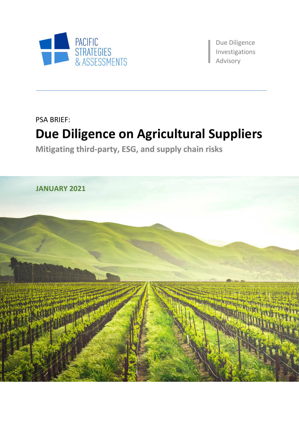

Due Diligence Investigations aAdvisory

PSA BRIEF:

# **Due Diligence on Agricultural Suppliers**

**Mitigating third-party, ESG, and supply chain risks**

**JANUARY 2021**

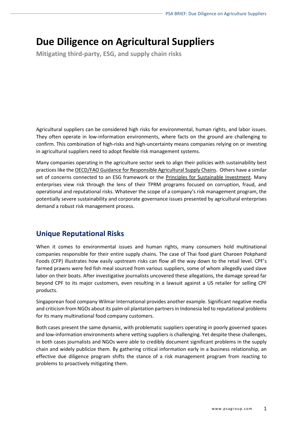# **Due Diligence on Agricultural Suppliers**

**Mitigating third-party, ESG, and supply chain risks**

Agricultural suppliers can be considered high risks for environmental, human rights, and labor issues. They often operate in low-information environments, where facts on the ground are challenging to confirm. This combination of high-risks and high-uncertainty means companies relying on or investing in agricultural suppliers need to adopt flexible risk management systems.

Many companies operating in the agriculture sector seek to align their policies with sustainability best practices like th[e OECD/FAO Guidance for Responsible Agricultural Supply Chains.](http://mneguidelines.oecd.org/oecd-fao-guidance-responsible-agricultural-supply-chains.htm) Others have a similar set of concerns connected to an ESG framework or the [Principles for Sustainable Investment.](http://www.fao.org/policy-support/tools-and-publications/resources-details/en/c/422954/) Many enterprises view risk through the lens of their TPRM programs focused on corruption, fraud, and operational and reputational risks. Whatever the scope of a company's risk management program, the potentially severe sustainability and corporate governance issues presented by agricultural enterprises demand a robust risk management process.

## **Unique Reputational Risks**

When it comes to environmental issues and human rights, many consumers hold multinational companies responsible for their entire supply chains. The case of Thai food giant Charoen Pokphand Foods (CFP) illustrates how easily upstream risks can flow all the way down to the retail level. CPF's farmed prawns were fed fish meal sourced from various suppliers, some of whom allegedly used slave labor on their boats. After investigative journalists uncovered these allegations, the damage spread far beyond CPF to its major customers, even resulting in a lawsuit against a US retailer for selling CPF products.

Singaporean food company Wilmar International provides another example. Significant negative media and criticism from NGOs about its palm oil plantation partners in Indonesia led to reputational problems for its many multinational food company customers.

Both cases present the same dynamic, with problematic suppliers operating in poorly governed spaces and low-information environments where vetting suppliers is challenging. Yet despite these challenges, in both cases journalists and NGOs were able to credibly document significant problems in the supply chain and widely publicize them. By gathering critical information early in a business relationship, an effective due diligence program shifts the stance of a risk management program from reacting to problems to proactively mitigating them.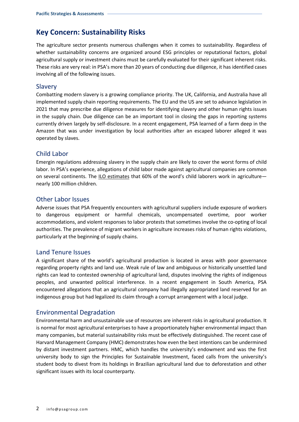# **Key Concern: Sustainability Risks**

The agriculture sector presents numerous challenges when it comes to sustainability. Regardless of whether sustainability concerns are organized around ESG principles or reputational factors, global agricultural supply or investment chains must be carefully evaluated for their significant inherent risks. These risks are very real: in PSA's more than 20 years of conducting due diligence, it has identified cases involving all of the following issues.

#### Slavery

Combatting modern slavery is a growing compliance priority. The UK, California, and Australia have all implemented supply chain reporting requirements. The EU and the US are set to advance legislation in 2021 that may prescribe due diligence measures for identifying slavery and other human rights issues in the supply chain. Due diligence can be an important tool in closing the gaps in reporting systems currently driven largely by self-disclosure. In a recent engagement, PSA learned of a farm deep in the Amazon that was under investigation by local authorities after an escaped laborer alleged it was operated by slaves.

#### Child Labor

Emergin regulations addressing slavery in the supply chain are likely to cover the worst forms of child labor. In PSA's experience, allegations of child labor made against agricultural companies are common on several continents. The [ILO estimates](https://www.ilo.org/ipec/areas/Agriculture/lang--en/index.htm) that 60% of the word's child laborers work in agriculture nearly 100 million children.

#### Other Labor Issues

Adverse issues that PSA frequently encounters with agricultural suppliers include exposure of workers to dangerous equipment or harmful chemicals, uncompensated overtime, poor worker accommodations, and violent responses to labor protests that sometimes involve the co-opting of local authorities. The prevalence of migrant workers in agriculture increases risks of human rights violations, particularly at the beginning of supply chains.

#### Land Tenure Issues

A significant share of the world's agricultural production is located in areas with poor governance regarding property rights and land use. Weak rule of law and ambiguous or historically unsettled land rights can lead to contested ownership of agricultural land, disputes involving the rights of indigenous peoples, and unwanted political interference. In a recent engagement in South America, PSA encountered allegations that an agricultural company had illegally appropriated land reserved for an indigenous group but had legalized its claim through a corrupt arrangement with a local judge.

#### Environmental Degradation

Environmental harm and unsustainable use of resources are inherent risks in agricultural production. It is normal for most agricultural enterprises to have a proportionately higher environmental impact than many companies, but material sustainability risks must be effectively distinguished. The recent case of Harvard Management Company (HMC) demonstrates how even the best intentions can be undermined by distant investment partners. HMC, which handles the university's endowment and was the first university body to sign the Principles for Sustainable Investment, faced calls from the university's student body to divest from its holdings in Brazilian agricultural land due to deforestation and other significant issues with its local counterparty.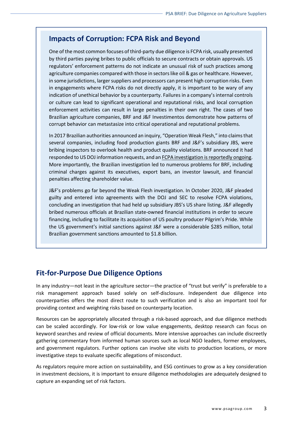### **Impacts of Corruption: FCPA Risk and Beyond**

One of the most common focuses of third-party due diligence is FCPA risk, usually presented by third parties paying bribes to public officials to secure contracts or obtain approvals. US regulators' enforcement patterns do not indicate an unusual risk of such practices among agriculture companies compared with those in sectors like oil & gas or healthcare. However, in some jurisdictions, larger suppliers and processors can present high corruption risks. Even in engagements where FCPA risks do not directly apply, it is important to be wary of any indication of unethical behavior by a counterparty. Failures in a company's internal controls or culture can lead to significant operational and reputational risks, and local corruption enforcement activities can result in large penalties in their own right. The cases of two Brazilian agriculture companies, BRF and J&F Investimentos demonstrate how patterns of corrupt behavior can metastasize into critical operational and reputational problems.

In 2017 Brazilian authorities announced an inquiry, "Operation Weak Flesh," into claimsthat several companies, including food production giants BRF and J&F's subsidiary JBS, were bribing inspectors to overlook health and product quality violations. BRF announced it had responded to US DOJ information requests, and a[n FCPA investigation is reportedly](http://fcpa.stanford.edu/investigation.html?id=364) ongoing. More importantly, the Brazilian investigation led to numerous problems for BRF, including criminal charges against its executives, export bans, an investor lawsuit, and financial penalties affecting shareholder value.

J&F's problems go far beyond the Weak Flesh investigation. In October 2020, J&F pleaded guilty and entered into agreements with the DOJ and SEC to resolve FCPA violations, concluding an investigation that had held up subsidiary JBS's US share listing. J&F allegedly bribed numerous officials at Brazilian state-owned financial institutions in order to secure financing, including to facilitate its acquisition of US poultry producer Pilgrim's Pride. While the US government's initial sanctions against J&F were a considerable \$285 million, total Brazilian government sanctions amounted to \$1.8 billion.

## **Fit-for-Purpose Due Diligence Options**

In any industry—not least in the agriculture sector—the practice of "trust but verify" is preferable to a risk management approach based solely on self-disclosure. Independent due diligence into counterparties offers the most direct route to such verification and is also an important tool for providing context and weighting risks based on counterparty location.

Resources can be appropriately allocated through a risk-based approach, and due diligence methods can be scaled accordingly. For low-risk or low value engagements, desktop research can focus on keyword searches and review of official documents. More intensive approaches can include discreetly gathering commentary from informed human sources such as local NGO leaders, former employees, and government regulators. Further options can involve site visits to production locations, or more investigative steps to evaluate specific allegations of misconduct.

As regulators require more action on sustainability, and ESG continues to grow as a key consideration in investment decisions, it is important to ensure diligence methodologies are adequately designed to capture an expanding set of risk factors.